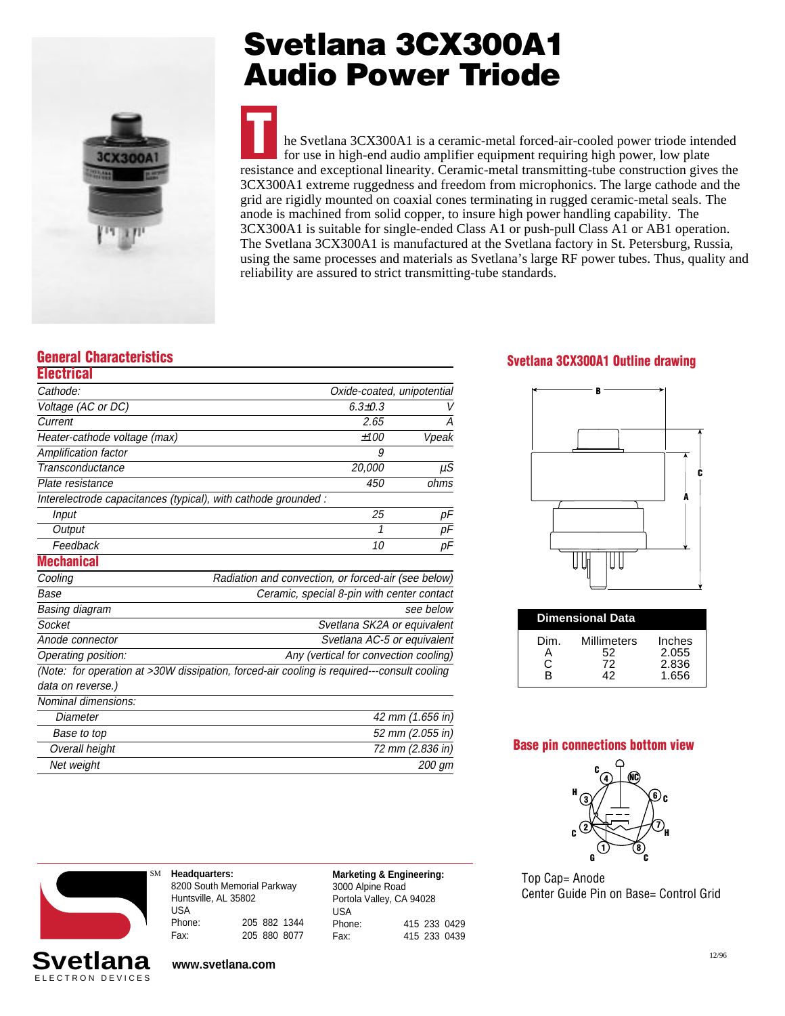

# **Svetlana 3CX300A1 Audio Power Triode**

he Svetlana 3CX300A1 is a ceramic-metal forced-air-cooled power triode intended for use in high-end audio amplifier equipment requiring high power, low plate resistance and exceptional linearity. Ceramic-metal transmitting-tube construction gives the 3CX300A1 extreme ruggedness and freedom from microphonics. The large cathode and the grid are rigidly mounted on coaxial cones terminating in rugged ceramic-metal seals. The anode is machined from solid copper, to insure high power handling capability. The 3CX300A1 is suitable for single-ended Class A1 or push-pull Class A1 or AB1 operation. The Svetlana 3CX300A1 is manufactured at the Svetlana factory in St. Petersburg, Russia, using the same processes and materials as Svetlana's large RF power tubes. Thus, quality and reliability are assured to strict transmitting-tube standards. **T**

### **General Characteristics**

| <b>Electrical</b>            |                                                                                            |                                                     |  |  |  |
|------------------------------|--------------------------------------------------------------------------------------------|-----------------------------------------------------|--|--|--|
| Cathode:                     | Oxide-coated, unipotential                                                                 |                                                     |  |  |  |
| Voltage (AC or DC)           | $6.3{\pm}0.3$                                                                              | V                                                   |  |  |  |
| Current                      | 2.65                                                                                       | А                                                   |  |  |  |
| Heater-cathode voltage (max) | ±100                                                                                       | Vpeak                                               |  |  |  |
| Amplification factor         | 9                                                                                          |                                                     |  |  |  |
| Transconductance             | 20,000                                                                                     | $\mu$ S                                             |  |  |  |
| Plate resistance             | 450                                                                                        | ohms                                                |  |  |  |
|                              | Interelectrode capacitances (typical), with cathode grounded :                             |                                                     |  |  |  |
| Input                        | 25                                                                                         | рF                                                  |  |  |  |
| Output                       | 1                                                                                          | pF                                                  |  |  |  |
| Feedback                     | 10                                                                                         | рF                                                  |  |  |  |
| <b>Mechanical</b>            |                                                                                            |                                                     |  |  |  |
| Cooling                      |                                                                                            | Radiation and convection, or forced-air (see below) |  |  |  |
| Base                         |                                                                                            | Ceramic, special 8-pin with center contact          |  |  |  |
| Basing diagram               |                                                                                            | see below                                           |  |  |  |
| Socket                       |                                                                                            | Svetlana SK2A or equivalent                         |  |  |  |
| Anode connector              |                                                                                            | Svetlana AC-5 or equivalent                         |  |  |  |
| Operating position:          | Any (vertical for convection cooling)                                                      |                                                     |  |  |  |
|                              | (Note: for operation at >30W dissipation, forced-air cooling is required---consult cooling |                                                     |  |  |  |
| data on reverse.)            |                                                                                            |                                                     |  |  |  |
| Nominal dimensions:          |                                                                                            |                                                     |  |  |  |
| Diameter                     | 42 mm (1.656 in)                                                                           |                                                     |  |  |  |
| Base to top                  |                                                                                            | 52 mm (2.055 in)                                    |  |  |  |
| Overall height               |                                                                                            | 72 mm (2.836 in)                                    |  |  |  |
| Net weight                   |                                                                                            | 200 gm                                              |  |  |  |



**Headquarters:** 8200 South Memorial Parkway Huntsville, AL 35802 USA Phone: 205 882 1344 Fax: 205 880 8077 **Marketing & Engineering:** 3000 Alpine Road Portola Valley, CA 94028 USA Phone: 415 233 0429 Fax: 415 233 0439

### **Svetlana 3CX300A1 Outline drawing**



| <b>Dimensional Data</b> |                               |                                   |  |  |
|-------------------------|-------------------------------|-----------------------------------|--|--|
| Dim.<br>C.<br>R         | Millimeters<br>52<br>72<br>42 | Inches<br>2.055<br>2.836<br>1.656 |  |  |

#### **Base pin connections bottom view**



Top Cap= Anode Center Guide Pin on Base= Control Grid

**www.svetlana.com**